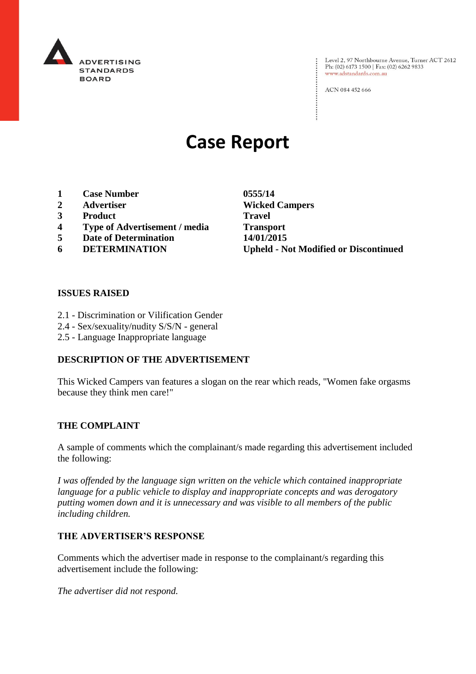

: Level 2, 97 Northbourne Avenue, Turner ACT 2612<br>: Ph: (02) 6173 1500 | Fax: (02) 6262 9833 Ph: (02) 6173 1500 | Fax: (02) 6262 9833 www.adstandards.com.au

ACN 084 452 666

# **Case Report**

- **1 Case Number 0555/14**
- 
- **3 Product Travel**
- **4 Type of Advertisement / media Transport**
- **5 Date of Determination 14/01/2015**
- 

**2 Advertiser Wicked Campers 6 DETERMINATION Upheld - Not Modified or Discontinued**

 $\vdots$ 

# **ISSUES RAISED**

- 2.1 Discrimination or Vilification Gender
- 2.4 Sex/sexuality/nudity S/S/N general
- 2.5 Language Inappropriate language

# **DESCRIPTION OF THE ADVERTISEMENT**

This Wicked Campers van features a slogan on the rear which reads, "Women fake orgasms because they think men care!"

#### **THE COMPLAINT**

A sample of comments which the complainant/s made regarding this advertisement included the following:

*I was offended by the language sign written on the vehicle which contained inappropriate language for a public vehicle to display and inappropriate concepts and was derogatory putting women down and it is unnecessary and was visible to all members of the public including children.*

# **THE ADVERTISER'S RESPONSE**

Comments which the advertiser made in response to the complainant/s regarding this advertisement include the following:

*The advertiser did not respond.*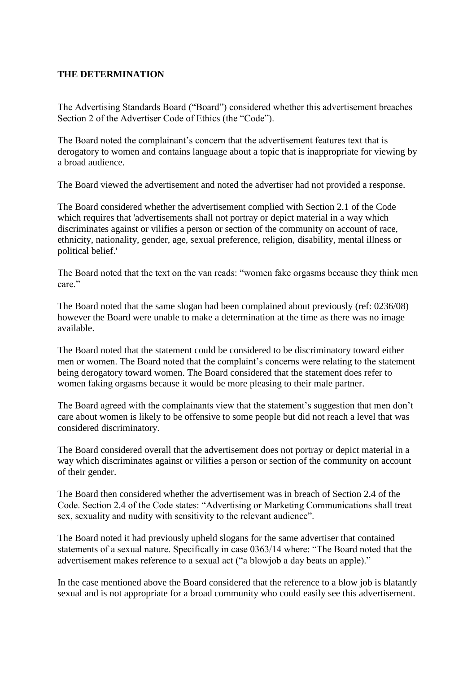# **THE DETERMINATION**

The Advertising Standards Board ("Board") considered whether this advertisement breaches Section 2 of the Advertiser Code of Ethics (the "Code").

The Board noted the complainant's concern that the advertisement features text that is derogatory to women and contains language about a topic that is inappropriate for viewing by a broad audience.

The Board viewed the advertisement and noted the advertiser had not provided a response.

The Board considered whether the advertisement complied with Section 2.1 of the Code which requires that 'advertisements shall not portray or depict material in a way which discriminates against or vilifies a person or section of the community on account of race, ethnicity, nationality, gender, age, sexual preference, religion, disability, mental illness or political belief.'

The Board noted that the text on the van reads: "women fake orgasms because they think men care"

The Board noted that the same slogan had been complained about previously (ref: 0236/08) however the Board were unable to make a determination at the time as there was no image available.

The Board noted that the statement could be considered to be discriminatory toward either men or women. The Board noted that the complaint's concerns were relating to the statement being derogatory toward women. The Board considered that the statement does refer to women faking orgasms because it would be more pleasing to their male partner.

The Board agreed with the complainants view that the statement's suggestion that men don't care about women is likely to be offensive to some people but did not reach a level that was considered discriminatory.

The Board considered overall that the advertisement does not portray or depict material in a way which discriminates against or vilifies a person or section of the community on account of their gender.

The Board then considered whether the advertisement was in breach of Section 2.4 of the Code. Section 2.4 of the Code states: "Advertising or Marketing Communications shall treat sex, sexuality and nudity with sensitivity to the relevant audience".

The Board noted it had previously upheld slogans for the same advertiser that contained statements of a sexual nature. Specifically in case 0363/14 where: "The Board noted that the advertisement makes reference to a sexual act ("a blowjob a day beats an apple)."

In the case mentioned above the Board considered that the reference to a blow job is blatantly sexual and is not appropriate for a broad community who could easily see this advertisement.